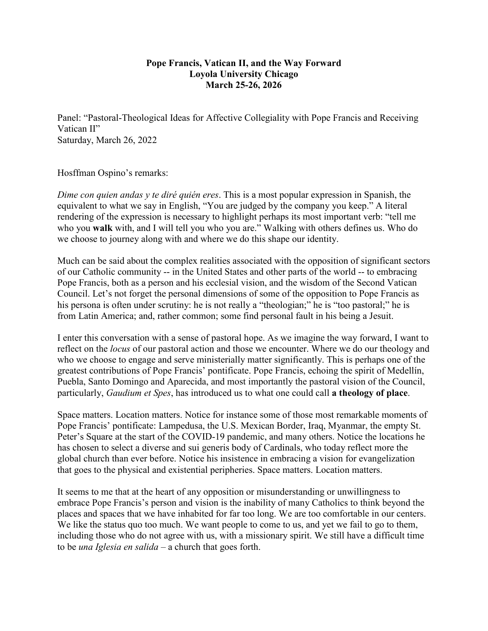## **Pope Francis, Vatican II, and the Way Forward Loyola University Chicago March 25-26, 2026**

Panel: "Pastoral-Theological Ideas for Affective Collegiality with Pope Francis and Receiving Vatican II" Saturday, March 26, 2022

## Hosffman Ospino's remarks:

*Dime con quien andas y te diré quién eres*. This is a most popular expression in Spanish, the equivalent to what we say in English, "You are judged by the company you keep." A literal rendering of the expression is necessary to highlight perhaps its most important verb: "tell me who you **walk** with, and I will tell you who you are." Walking with others defines us. Who do we choose to journey along with and where we do this shape our identity.

Much can be said about the complex realities associated with the opposition of significant sectors of our Catholic community -- in the United States and other parts of the world -- to embracing Pope Francis, both as a person and his ecclesial vision, and the wisdom of the Second Vatican Council. Let's not forget the personal dimensions of some of the opposition to Pope Francis as his persona is often under scrutiny: he is not really a "theologian;" he is "too pastoral;" he is from Latin America; and, rather common; some find personal fault in his being a Jesuit.

I enter this conversation with a sense of pastoral hope. As we imagine the way forward, I want to reflect on the *locus* of our pastoral action and those we encounter. Where we do our theology and who we choose to engage and serve ministerially matter significantly. This is perhaps one of the greatest contributions of Pope Francis' pontificate. Pope Francis, echoing the spirit of Medellín, Puebla, Santo Domingo and Aparecida, and most importantly the pastoral vision of the Council, particularly, *Gaudium et Spes*, has introduced us to what one could call **a theology of place**.

Space matters. Location matters. Notice for instance some of those most remarkable moments of Pope Francis' pontificate: Lampedusa, the U.S. Mexican Border, Iraq, Myanmar, the empty St. Peter's Square at the start of the COVID-19 pandemic, and many others. Notice the locations he has chosen to select a diverse and sui generis body of Cardinals, who today reflect more the global church than ever before. Notice his insistence in embracing a vision for evangelization that goes to the physical and existential peripheries. Space matters. Location matters.

It seems to me that at the heart of any opposition or misunderstanding or unwillingness to embrace Pope Francis's person and vision is the inability of many Catholics to think beyond the places and spaces that we have inhabited for far too long. We are too comfortable in our centers. We like the status quo too much. We want people to come to us, and yet we fail to go to them, including those who do not agree with us, with a missionary spirit. We still have a difficult time to be *una Iglesia en salida* – a church that goes forth.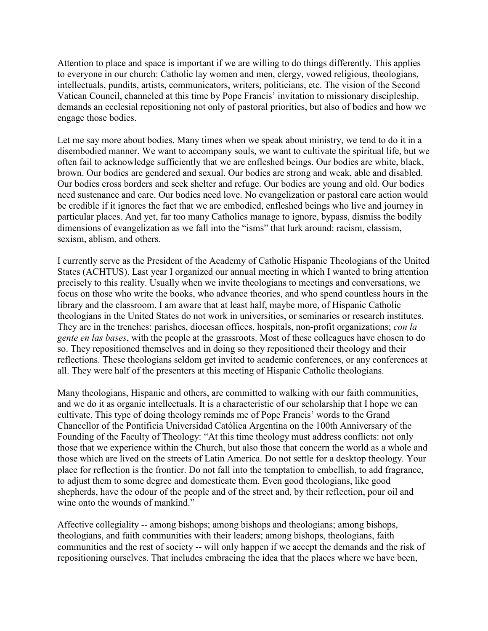Attention to place and space is important if we are willing to do things differently. This applies to everyone in our church: Catholic lay women and men, clergy, vowed religious, theologians, intellectuals, pundits, artists, communicators, writers, politicians, etc. The vision of the Second Vatican Council, channeled at this time by Pope Francis' invitation to missionary discipleship, demands an ecclesial repositioning not only of pastoral priorities, but also of bodies and how we engage those bodies.

Let me say more about bodies. Many times when we speak about ministry, we tend to do it in a disembodied manner. We want to accompany souls, we want to cultivate the spiritual life, but we often fail to acknowledge sufficiently that we are enfleshed beings. Our bodies are white, black, brown. Our bodies are gendered and sexual. Our bodies are strong and weak, able and disabled. Our bodies cross borders and seek shelter and refuge. Our bodies are young and old. Our bodies need sustenance and care. Our bodies need love. No evangelization or pastoral care action would be credible if it ignores the fact that we are embodied, enfleshed beings who live and journey in particular places. And yet, far too many Catholics manage to ignore, bypass, dismiss the bodily dimensions of evangelization as we fall into the "isms" that lurk around: racism, classism, sexism, ablism, and others.

I currently serve as the President of the Academy of Catholic Hispanic Theologians of the United States (ACHTUS). Last year I organized our annual meeting in which I wanted to bring attention precisely to this reality. Usually when we invite theologians to meetings and conversations, we focus on those who write the books, who advance theories, and who spend countless hours in the library and the classroom. I am aware that at least half, maybe more, of Hispanic Catholic theologians in the United States do not work in universities, or seminaries or research institutes. They are in the trenches: parishes, diocesan offices, hospitals, non-profit organizations; *con la gente en las bases*, with the people at the grassroots. Most of these colleagues have chosen to do so. They repositioned themselves and in doing so they repositioned their theology and their reflections. These theologians seldom get invited to academic conferences, or any conferences at all. They were half of the presenters at this meeting of Hispanic Catholic theologians.

Many theologians, Hispanic and others, are committed to walking with our faith communities, and we do it as organic intellectuals. It is a characteristic of our scholarship that I hope we can cultivate. This type of doing theology reminds me of Pope Francis' words to the Grand Chancellor of the Pontificia Universidad Católica Argentina on the 100th Anniversary of the Founding of the Faculty of Theology: "At this time theology must address conflicts: not only those that we experience within the Church, but also those that concern the world as a whole and those which are lived on the streets of Latin America. Do not settle for a desktop theology. Your place for reflection is the frontier. Do not fall into the temptation to embellish, to add fragrance, to adjust them to some degree and domesticate them. Even good theologians, like good shepherds, have the odour of the people and of the street and, by their reflection, pour oil and wine onto the wounds of mankind."

Affective collegiality -- among bishops; among bishops and theologians; among bishops, theologians, and faith communities with their leaders; among bishops, theologians, faith communities and the rest of society -- will only happen if we accept the demands and the risk of repositioning ourselves. That includes embracing the idea that the places where we have been,